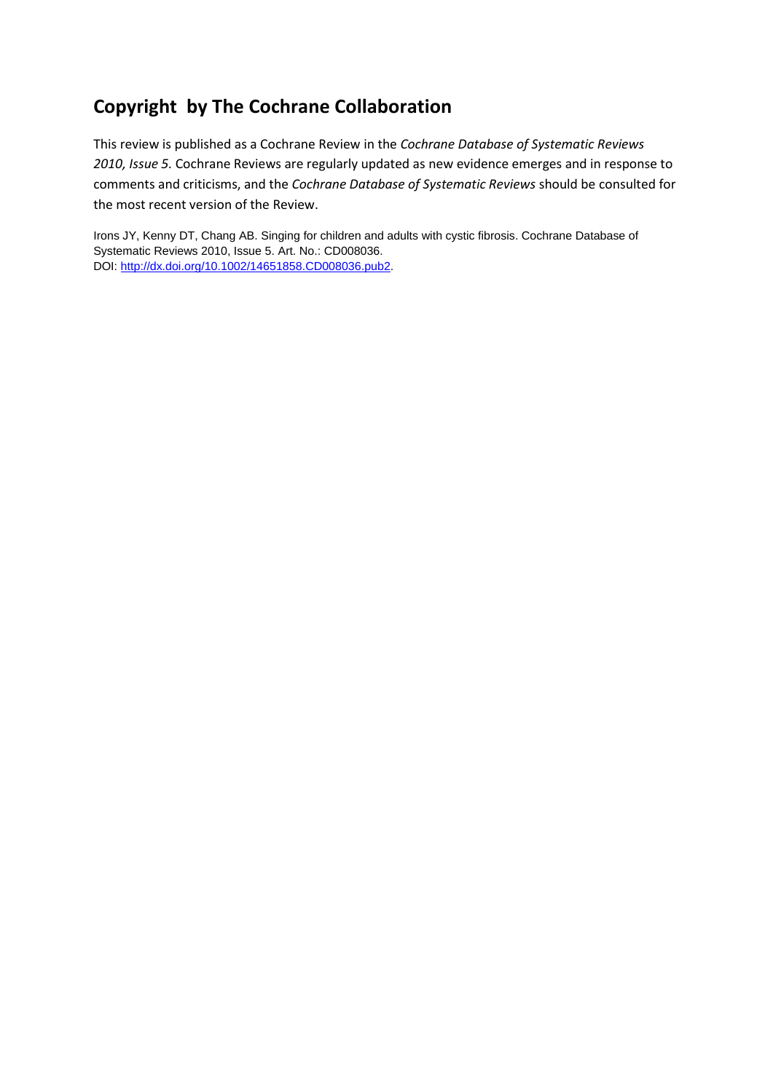# **Copyright by The Cochrane Collaboration**

This review is published as a Cochrane Review in the *Cochrane Database of Systematic Reviews 2010, Issue 5.* Cochrane Reviews are regularly updated as new evidence emerges and in response to comments and criticisms, and the *Cochrane Database of Systematic Reviews* should be consulted for the most recent version of the Review.

Irons JY, Kenny DT, Chang AB. Singing for children and adults with cystic fibrosis. Cochrane Database of Systematic Reviews 2010, Issue 5. Art. No.: CD008036. DOI: [http://dx.doi.org/10.1002/14651858.CD008036.pub2.](http://dx.doi.org/10.1002/14651858.CD008036.pub2)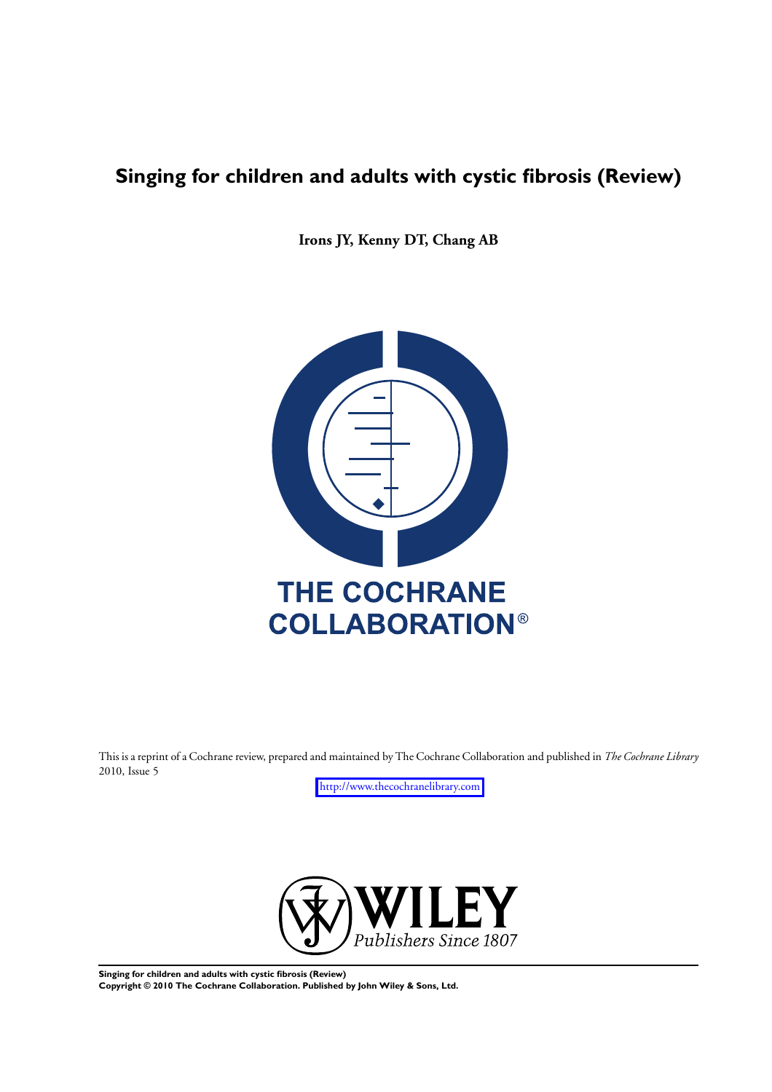# **Singing for children and adults with cystic fibrosis (Review)**

**Irons JY, Kenny DT, Chang AB**



This is a reprint of a Cochrane review, prepared and maintained by The Cochrane Collaboration and published in *The Cochrane Library* 2010, Issue 5

<http://www.thecochranelibrary.com>



**Singing for children and adults with cystic fibrosis (Review) Copyright © 2010 The Cochrane Collaboration. Published by John Wiley & Sons, Ltd.**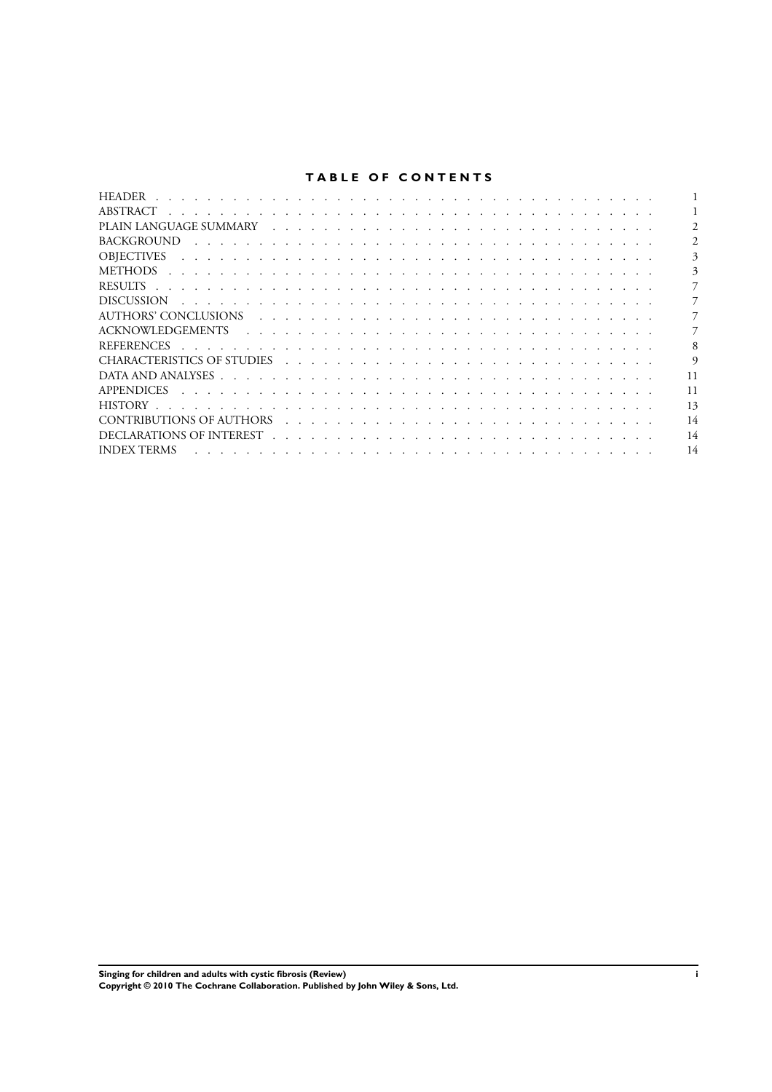# **TABLE OF CONTENTS**

| <b>BACKGROUND</b>                                                                                                                                                                                                                                  |          |
|----------------------------------------------------------------------------------------------------------------------------------------------------------------------------------------------------------------------------------------------------|----------|
| <b>OBIECTIVES</b>                                                                                                                                                                                                                                  | 3        |
| <b>METHODS</b>                                                                                                                                                                                                                                     | 3        |
|                                                                                                                                                                                                                                                    |          |
| <b>DISCUSSION</b><br>the contract of the contract of the contract of the contract of the contract of the contract of the contract of                                                                                                               |          |
|                                                                                                                                                                                                                                                    |          |
|                                                                                                                                                                                                                                                    |          |
| <b>REFERENCES</b><br>the contract of the contract of the contract of the contract of the contract of the contract of the contract of                                                                                                               |          |
|                                                                                                                                                                                                                                                    | $\Omega$ |
|                                                                                                                                                                                                                                                    | 11       |
| <b>APPENDICES</b><br>a construction of the construction of the construction of the construction of the construction of the construction of the construction of the construction of the construction of the construction of the construction of the | 11       |
|                                                                                                                                                                                                                                                    | 13       |
| CONTRIBUTIONS OF AUTHORS<br>the contract of the contract of the contract of the contract of the contract of the contract of the contract of                                                                                                        | 14       |
|                                                                                                                                                                                                                                                    | 14       |
| <b>INDEX TERMS</b>                                                                                                                                                                                                                                 | 14       |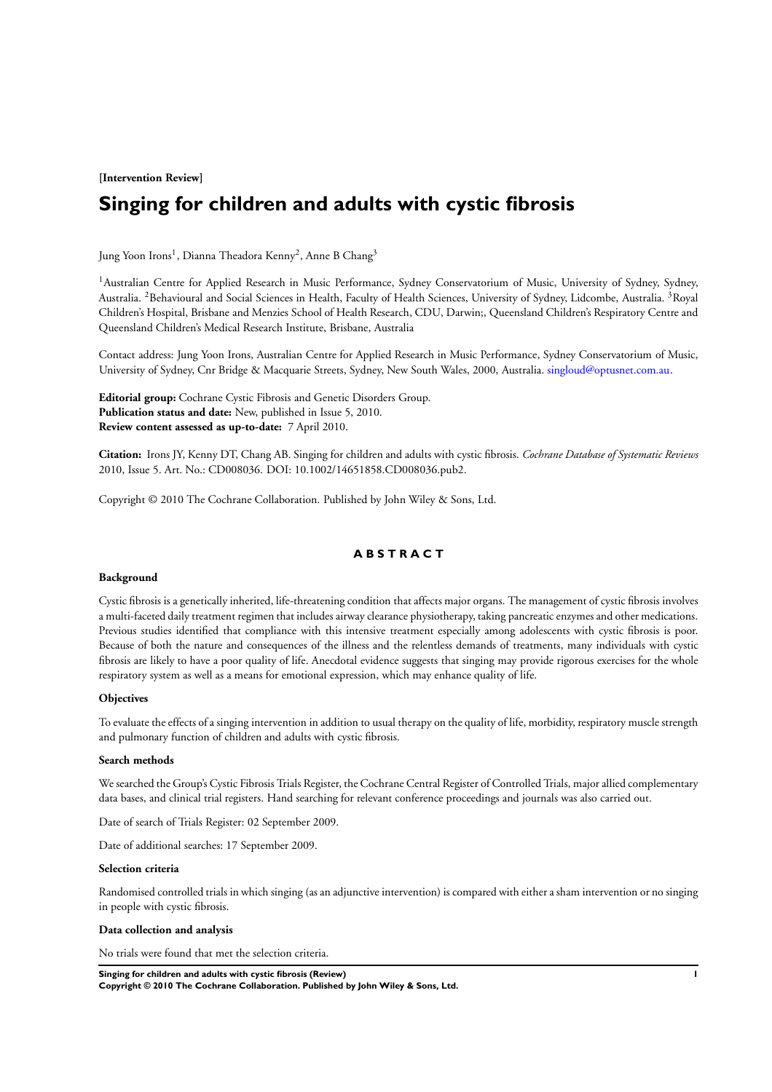**[Intervention Review]**

# **Singing for children and adults with cystic fibrosis**

Jung Yoon Irons<sup>1</sup>, Dianna Theadora Kenny<sup>2</sup>, Anne B Chang<sup>3</sup>

<sup>1</sup>Australian Centre for Applied Research in Music Performance, Sydney Conservatorium of Music, University of Sydney, Sydney, Australia. <sup>2</sup>Behavioural and Social Sciences in Health, Faculty of Health Sciences, University of Sydney, Lidcombe, Australia. <sup>3</sup>Royal Children's Hospital, Brisbane and Menzies School of Health Research, CDU, Darwin;, Queensland Children's Respiratory Centre and Queensland Children's Medical Research Institute, Brisbane, Australia

Contact address: Jung Yoon Irons, Australian Centre for Applied Research in Music Performance, Sydney Conservatorium of Music, University of Sydney, Cnr Bridge & Macquarie Streets, Sydney, New South Wales, 2000, Australia. [singloud@optusnet.com.au](mailto:singloud@optusnet.com.au).

**Editorial group:** Cochrane Cystic Fibrosis and Genetic Disorders Group. **Publication status and date:** New, published in Issue 5, 2010. **Review content assessed as up-to-date:** 7 April 2010.

**Citation:** Irons JY, Kenny DT, Chang AB. Singing for children and adults with cystic fibrosis. *Cochrane Database of Systematic Reviews* 2010, Issue 5. Art. No.: CD008036. DOI: 10.1002/14651858.CD008036.pub2.

Copyright © 2010 The Cochrane Collaboration. Published by John Wiley & Sons, Ltd.

### **A B S T R A C T**

#### **Background**

Cystic fibrosis is a genetically inherited, life-threatening condition that affects major organs. The management of cystic fibrosis involves a multi-faceted daily treatment regimen that includes airway clearance physiotherapy, taking pancreatic enzymes and other medications. Previous studies identified that compliance with this intensive treatment especially among adolescents with cystic fibrosis is poor. Because of both the nature and consequences of the illness and the relentless demands of treatments, many individuals with cystic fibrosis are likely to have a poor quality of life. Anecdotal evidence suggests that singing may provide rigorous exercises for the whole respiratory system as well as a means for emotional expression, which may enhance quality of life.

#### **Objectives**

To evaluate the effects of a singing intervention in addition to usual therapy on the quality of life, morbidity, respiratory muscle strength and pulmonary function of children and adults with cystic fibrosis.

### **Search methods**

We searched the Group's Cystic Fibrosis Trials Register, the Cochrane Central Register of Controlled Trials, major allied complementary data bases, and clinical trial registers. Hand searching for relevant conference proceedings and journals was also carried out.

Date of search of Trials Register: 02 September 2009.

Date of additional searches: 17 September 2009.

#### **Selection criteria**

Randomised controlled trials in which singing (as an adjunctive intervention) is compared with either a sham intervention or no singing in people with cystic fibrosis.

#### **Data collection and analysis**

No trials were found that met the selection criteria.

**Singing for children and adults with cystic fibrosis (Review) 1 Copyright © 2010 The Cochrane Collaboration. Published by John Wiley & Sons, Ltd.**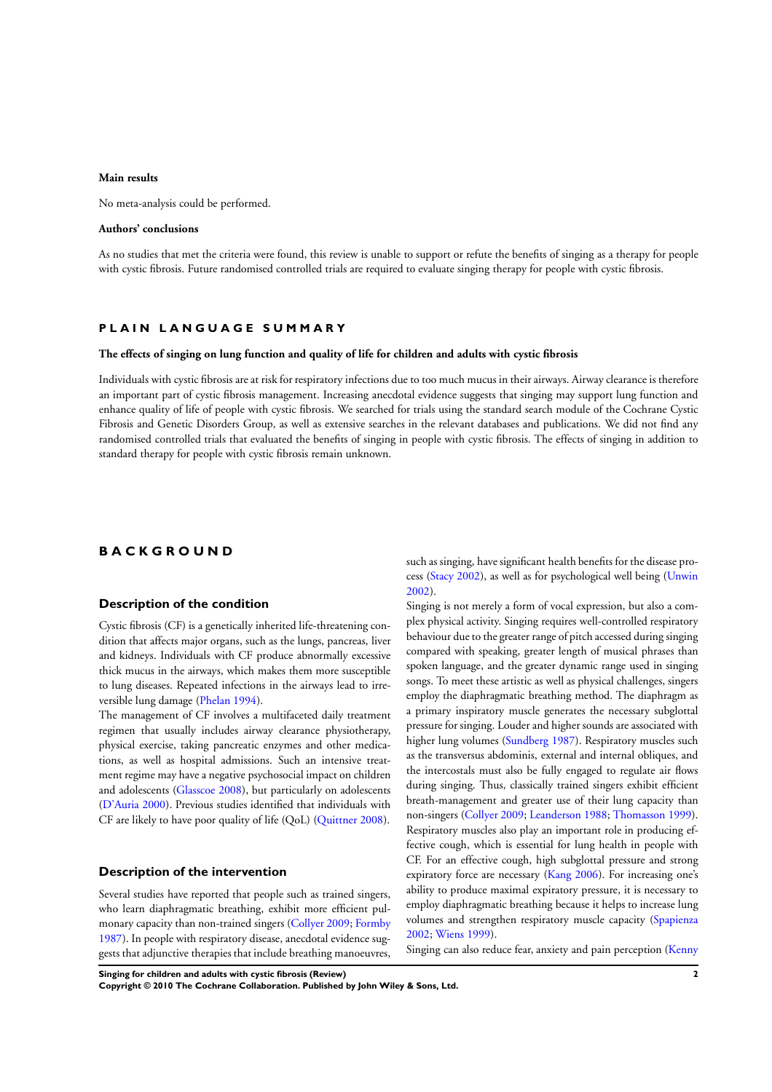### **Main results**

No meta-analysis could be performed.

#### **Authors' conclusions**

As no studies that met the criteria were found, this review is unable to support or refute the benefits of singing as a therapy for people with cystic fibrosis. Future randomised controlled trials are required to evaluate singing therapy for people with cystic fibrosis.

#### **P L A I N L A N G U A G E S U M M A R Y**

#### **The effects of singing on lung function and quality of life for children and adults with cystic fibrosis**

Individuals with cystic fibrosis are at risk for respiratory infections due to too much mucus in their airways. Airway clearance is therefore an important part of cystic fibrosis management. Increasing anecdotal evidence suggests that singing may support lung function and enhance quality of life of people with cystic fibrosis. We searched for trials using the standard search module of the Cochrane Cystic Fibrosis and Genetic Disorders Group, as well as extensive searches in the relevant databases and publications. We did not find any randomised controlled trials that evaluated the benefits of singing in people with cystic fibrosis. The effects of singing in addition to standard therapy for people with cystic fibrosis remain unknown.

### **B A C K G R O U N D**

### **Description of the condition**

Cystic fibrosis (CF) is a genetically inherited life-threatening condition that affects major organs, such as the lungs, pancreas, liver and kidneys. Individuals with CF produce abnormally excessive thick mucus in the airways, which makes them more susceptible to lung diseases. Repeated infections in the airways lead to irreversible lung damage ([Phelan 1994\)](#page-10-0).

The management of CF involves a multifaceted daily treatment regimen that usually includes airway clearance physiotherapy, physical exercise, taking pancreatic enzymes and other medications, as well as hospital admissions. Such an intensive treatment regime may have a negative psychosocial impact on children and adolescents ([Glasscoe 2008](#page-10-0)), but particularly on adolescents [\(D'Auria 2000\)](#page-10-0). Previous studies identified that individuals with CF are likely to have poor quality of life (QoL) [\(Quittner 2008](#page-10-0)).

### **Description of the intervention**

Several studies have reported that people such as trained singers, who learn diaphragmatic breathing, exhibit more efficient pulmonary capacity than non-trained singers [\(Collyer 2009;](#page-10-0) [Formby](#page-10-0) [1987](#page-10-0)). In people with respiratory disease, anecdotal evidence suggests that adjunctive therapies that include breathing manoeuvres, such as singing, have significant health benefits for the disease process ([Stacy 2002](#page-10-0)), as well as for psychological well being [\(Unwin](#page-10-0) [2002](#page-10-0)).

Singing is not merely a form of vocal expression, but also a complex physical activity. Singing requires well-controlled respiratory behaviour due to the greater range of pitch accessed during singing compared with speaking, greater length of musical phrases than spoken language, and the greater dynamic range used in singing songs. To meet these artistic as well as physical challenges, singers employ the diaphragmatic breathing method. The diaphragm as a primary inspiratory muscle generates the necessary subglottal pressure for singing. Louder and higher sounds are associated with higher lung volumes ([Sundberg 1987](#page-10-0)). Respiratory muscles such as the transversus abdominis, external and internal obliques, and the intercostals must also be fully engaged to regulate air flows during singing. Thus, classically trained singers exhibit efficient breath-management and greater use of their lung capacity than non-singers [\(Collyer 2009;](#page-10-0) [Leanderson 1988](#page-10-0); [Thomasson 1999](#page-10-0)). Respiratory muscles also play an important role in producing effective cough, which is essential for lung health in people with CF. For an effective cough, high subglottal pressure and strong expiratory force are necessary ([Kang 2006](#page-10-0)). For increasing one's ability to produce maximal expiratory pressure, it is necessary to employ diaphragmatic breathing because it helps to increase lung volumes and strengthen respiratory muscle capacity ([Spapienza](#page-10-0) [2002](#page-10-0); [Wiens 1999](#page-10-0)).

Singing can also reduce fear, anxiety and pain perception [\(Kenny](#page-10-0)

**Singing for children and adults with cystic fibrosis (Review) 2**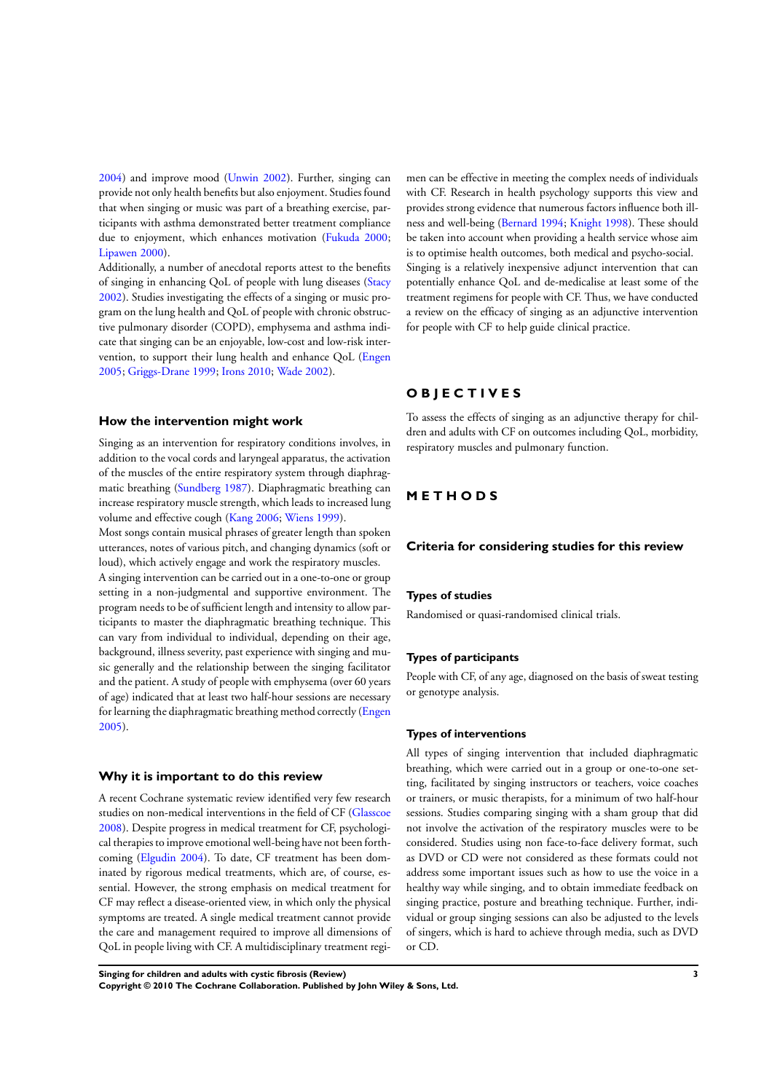[2004](#page-10-0)) and improve mood [\(Unwin 2002\)](#page-10-0). Further, singing can provide not only health benefits but also enjoyment. Studies found that when singing or music was part of a breathing exercise, participants with asthma demonstrated better treatment compliance due to enjoyment, which enhances motivation ([Fukuda 2000;](#page-10-0) [Lipawen 2000](#page-10-0)).

Additionally, a number of anecdotal reports attest to the benefits of singing in enhancing QoL of people with lung diseases [\(Stacy](#page-10-0) [2002](#page-10-0)). Studies investigating the effects of a singing or music program on the lung health and QoL of people with chronic obstructive pulmonary disorder (COPD), emphysema and asthma indicate that singing can be an enjoyable, low-cost and low-risk intervention, to support their lung health and enhance QoL ([Engen](#page-10-0) [2005](#page-10-0); [Griggs-Drane 1999](#page-10-0); [Irons 2010;](#page-10-0) [Wade 2002](#page-10-0)).

#### **How the intervention might work**

Singing as an intervention for respiratory conditions involves, in addition to the vocal cords and laryngeal apparatus, the activation of the muscles of the entire respiratory system through diaphragmatic breathing ([Sundberg 1987\)](#page-10-0). Diaphragmatic breathing can increase respiratory muscle strength, which leads to increased lung volume and effective cough [\(Kang 2006](#page-10-0); [Wiens 1999\)](#page-10-0).

Most songs contain musical phrases of greater length than spoken utterances, notes of various pitch, and changing dynamics (soft or loud), which actively engage and work the respiratory muscles. A singing intervention can be carried out in a one-to-one or group setting in a non-judgmental and supportive environment. The program needs to be of sufficient length and intensity to allow participants to master the diaphragmatic breathing technique. This can vary from individual to individual, depending on their age, background, illness severity, past experience with singing and music generally and the relationship between the singing facilitator and the patient. A study of people with emphysema (over 60 years of age) indicated that at least two half-hour sessions are necessary for learning the diaphragmatic breathing method correctly [\(Engen](#page-10-0) [2005](#page-10-0)).

#### **Why it is important to do this review**

A recent Cochrane systematic review identified very few research studies on non-medical interventions in the field of CF [\(Glasscoe](#page-10-0) [2008](#page-10-0)). Despite progress in medical treatment for CF, psychological therapies to improve emotional well-being have not been forthcoming [\(Elgudin 2004\)](#page-10-0). To date, CF treatment has been dominated by rigorous medical treatments, which are, of course, essential. However, the strong emphasis on medical treatment for CF may reflect a disease-oriented view, in which only the physical symptoms are treated. A single medical treatment cannot provide the care and management required to improve all dimensions of QoL in people living with CF. A multidisciplinary treatment regimen can be effective in meeting the complex needs of individuals with CF. Research in health psychology supports this view and provides strong evidence that numerous factors influence both illness and well-being [\(Bernard 1994;](#page-10-0) [Knight 1998](#page-10-0)). These should be taken into account when providing a health service whose aim is to optimise health outcomes, both medical and psycho-social. Singing is a relatively inexpensive adjunct intervention that can potentially enhance QoL and de-medicalise at least some of the treatment regimens for people with CF. Thus, we have conducted a review on the efficacy of singing as an adjunctive intervention for people with CF to help guide clinical practice.

# **O B J E C T I V E S**

To assess the effects of singing as an adjunctive therapy for children and adults with CF on outcomes including QoL, morbidity, respiratory muscles and pulmonary function.

### **M E T H O D S**

### **Criteria for considering studies for this review**

#### **Types of studies**

Randomised or quasi-randomised clinical trials.

### **Types of participants**

People with CF, of any age, diagnosed on the basis of sweat testing or genotype analysis.

#### **Types of interventions**

All types of singing intervention that included diaphragmatic breathing, which were carried out in a group or one-to-one setting, facilitated by singing instructors or teachers, voice coaches or trainers, or music therapists, for a minimum of two half-hour sessions. Studies comparing singing with a sham group that did not involve the activation of the respiratory muscles were to be considered. Studies using non face-to-face delivery format, such as DVD or CD were not considered as these formats could not address some important issues such as how to use the voice in a healthy way while singing, and to obtain immediate feedback on singing practice, posture and breathing technique. Further, individual or group singing sessions can also be adjusted to the levels of singers, which is hard to achieve through media, such as DVD or CD.

**Singing for children and adults with cystic fibrosis (Review) 3**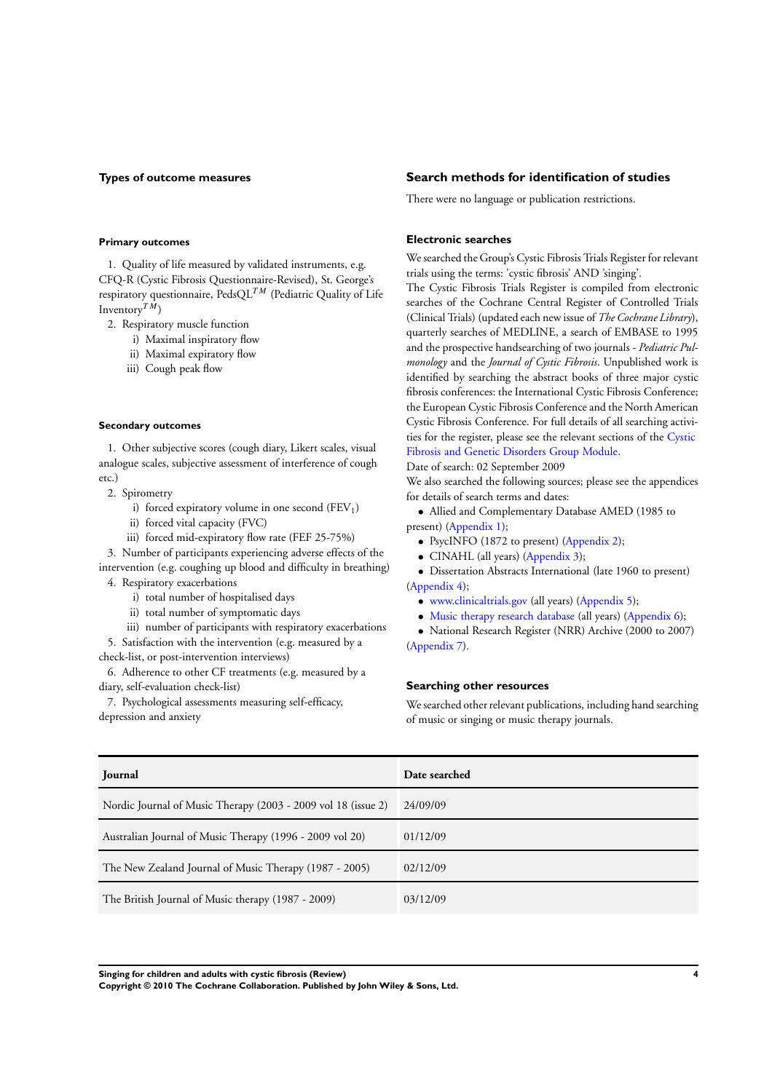### **Types of outcome measures**

#### **Primary outcomes**

1. Quality of life measured by validated instruments, e.g. CFQ-R (Cystic Fibrosis Questionnaire-Revised), St. George's respiratory questionnaire,  $PedsQL^{TM}$  (Pediatric Quality of Life Inventory<sup>TM</sup>)

2. Respiratory muscle function

- i) Maximal inspiratory flow
- ii) Maximal expiratory flow
- iii) Cough peak flow

#### **Secondary outcomes**

1. Other subjective scores (cough diary, Likert scales, visual analogue scales, subjective assessment of interference of cough etc.)

- 2. Spirometry
	- i) forced expiratory volume in one second  $(FEV<sub>1</sub>)$
	- ii) forced vital capacity (FVC)
	- iii) forced mid-expiratory flow rate (FEF 25-75%)

3. Number of participants experiencing adverse effects of the intervention (e.g. coughing up blood and difficulty in breathing) 4. Respiratory exacerbations

- i) total number of hospitalised days
- ii) total number of symptomatic days
- iii) number of participants with respiratory exacerbations

5. Satisfaction with the intervention (e.g. measured by a check-list, or post-intervention interviews)

6. Adherence to other CF treatments (e.g. measured by a diary, self-evaluation check-list)

7. Psychological assessments measuring self-efficacy, depression and anxiety

### **Search methods for identification of studies**

There were no language or publication restrictions.

#### **Electronic searches**

We searched the Group's Cystic Fibrosis Trials Register for relevant trials using the terms: 'cystic fibrosis' AND 'singing'.

The Cystic Fibrosis Trials Register is compiled from electronic searches of the Cochrane Central Register of Controlled Trials (Clinical Trials) (updated each new issue of *The Cochrane Library*), quarterly searches of MEDLINE, a search of EMBASE to 1995 and the prospective handsearching of two journals - *Pediatric Pulmonology* and the *Journal of Cystic Fibrosis*. Unpublished work is identified by searching the abstract books of three major cystic fibrosis conferences: the International Cystic Fibrosis Conference; the European Cystic Fibrosis Conference and the North American Cystic Fibrosis Conference. For full details of all searching activities for the register, please see the relevant sections of the [Cystic](http://www.mrw.interscience.wiley.com/cochrane/clabout/articles/CF/frame.html) [Fibrosis and Genetic Disorders Group Module](http://www.mrw.interscience.wiley.com/cochrane/clabout/articles/CF/frame.html).

Date of search: 02 September 2009

We also searched the following sources; please see the appendices for details of search terms and dates:

• Allied and Complementary Database AMED (1985 to present) [\(Appendix 1\)](#page-13-0);

- PsycINFO (1872 to present) ([Appendix 2](#page-13-0));
- CINAHL (all years) ([Appendix 3](#page-14-0));

• Dissertation Abstracts International (late 1960 to present) [\(Appendix 4\)](#page-14-0);

- [www.clinicaltrials.gov](http://www.clinicaltrials.gov) (all years) ([Appendix 5\)](#page-15-0);
- [Music therapy research database](http://www.musictherapyworld.de) (all years) [\(Appendix 6\)](#page-15-0);

• National Research Register (NRR) Archive (2000 to 2007) [\(Appendix 7\)](#page-15-0).

### **Searching other resources**

We searched other relevant publications, including hand searching of music or singing or music therapy journals.

| Journal                                                       | Date searched |
|---------------------------------------------------------------|---------------|
| Nordic Journal of Music Therapy (2003 - 2009 vol 18 (issue 2) | 24/09/09      |
| Australian Journal of Music Therapy (1996 - 2009 vol 20)      | 01/12/09      |
| The New Zealand Journal of Music Therapy (1987 - 2005)        | 02/12/09      |
| The British Journal of Music therapy (1987 - 2009)            | 03/12/09      |

**Singing for children and adults with cystic fibrosis (Review) 4**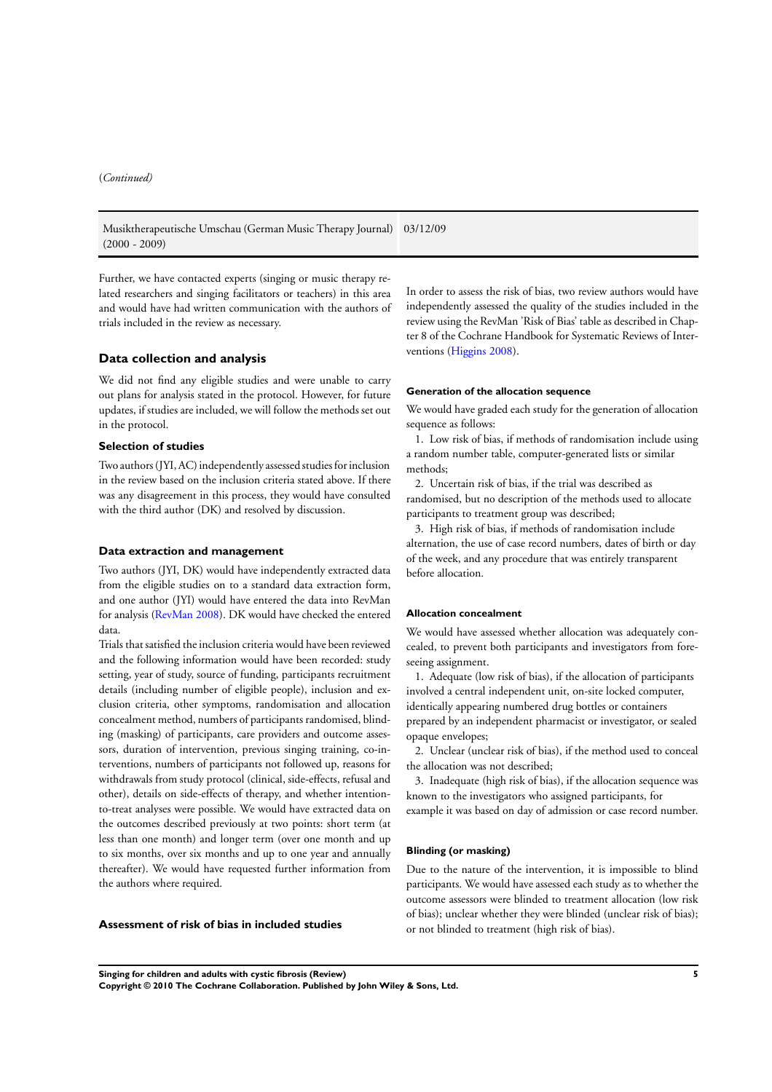Musiktherapeutische Umschau (German Music Therapy Journal) 03/12/09 (2000 - 2009)

Further, we have contacted experts (singing or music therapy related researchers and singing facilitators or teachers) in this area and would have had written communication with the authors of trials included in the review as necessary.

#### **Data collection and analysis**

We did not find any eligible studies and were unable to carry out plans for analysis stated in the protocol. However, for future updates, if studies are included, we will follow the methods set out in the protocol.

### **Selection of studies**

Two authors (JYI, AC) independently assessed studies for inclusion in the review based on the inclusion criteria stated above. If there was any disagreement in this process, they would have consulted with the third author (DK) and resolved by discussion.

#### **Data extraction and management**

Two authors (JYI, DK) would have independently extracted data from the eligible studies on to a standard data extraction form, and one author (JYI) would have entered the data into RevMan for analysis [\(RevMan 2008\)](#page-10-0). DK would have checked the entered data.

Trials that satisfied the inclusion criteria would have been reviewed and the following information would have been recorded: study setting, year of study, source of funding, participants recruitment details (including number of eligible people), inclusion and exclusion criteria, other symptoms, randomisation and allocation concealment method, numbers of participants randomised, blinding (masking) of participants, care providers and outcome assessors, duration of intervention, previous singing training, co-interventions, numbers of participants not followed up, reasons for withdrawals from study protocol (clinical, side-effects, refusal and other), details on side-effects of therapy, and whether intentionto-treat analyses were possible. We would have extracted data on the outcomes described previously at two points: short term (at less than one month) and longer term (over one month and up to six months, over six months and up to one year and annually thereafter). We would have requested further information from the authors where required.

**Assessment of risk of bias in included studies**

In order to assess the risk of bias, two review authors would have independently assessed the quality of the studies included in the review using the RevMan 'Risk of Bias' table as described in Chapter 8 of the Cochrane Handbook for Systematic Reviews of Interventions ([Higgins 2008](#page-10-0)).

#### **Generation of the allocation sequence**

We would have graded each study for the generation of allocation sequence as follows:

1. Low risk of bias, if methods of randomisation include using a random number table, computer-generated lists or similar methods;

2. Uncertain risk of bias, if the trial was described as randomised, but no description of the methods used to allocate participants to treatment group was described;

3. High risk of bias, if methods of randomisation include alternation, the use of case record numbers, dates of birth or day of the week, and any procedure that was entirely transparent before allocation.

#### **Allocation concealment**

We would have assessed whether allocation was adequately concealed, to prevent both participants and investigators from foreseeing assignment.

1. Adequate (low risk of bias), if the allocation of participants involved a central independent unit, on-site locked computer, identically appearing numbered drug bottles or containers prepared by an independent pharmacist or investigator, or sealed opaque envelopes;

2. Unclear (unclear risk of bias), if the method used to conceal the allocation was not described;

3. Inadequate (high risk of bias), if the allocation sequence was known to the investigators who assigned participants, for example it was based on day of admission or case record number.

#### **Blinding (or masking)**

Due to the nature of the intervention, it is impossible to blind participants. We would have assessed each study as to whether the outcome assessors were blinded to treatment allocation (low risk of bias); unclear whether they were blinded (unclear risk of bias); or not blinded to treatment (high risk of bias).

**Singing for children and adults with cystic fibrosis (Review) 5**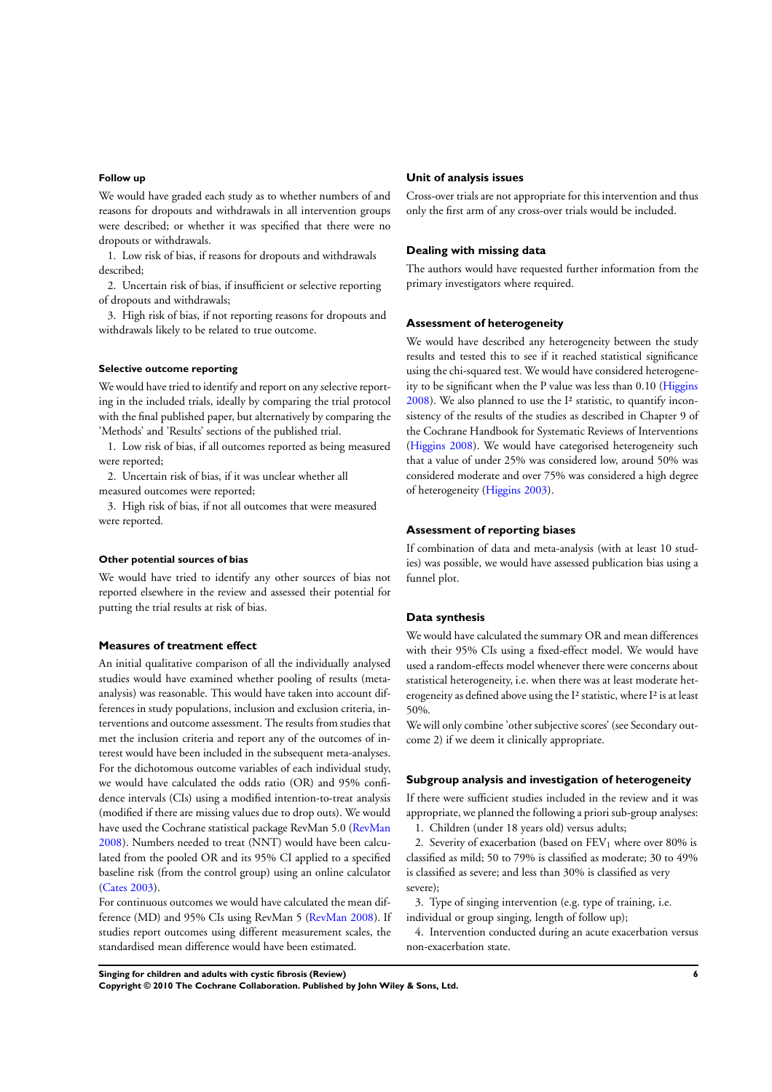### **Follow up**

We would have graded each study as to whether numbers of and reasons for dropouts and withdrawals in all intervention groups were described; or whether it was specified that there were no dropouts or withdrawals.

1. Low risk of bias, if reasons for dropouts and withdrawals described;

2. Uncertain risk of bias, if insufficient or selective reporting of dropouts and withdrawals;

3. High risk of bias, if not reporting reasons for dropouts and withdrawals likely to be related to true outcome.

### **Selective outcome reporting**

We would have tried to identify and report on any selective reporting in the included trials, ideally by comparing the trial protocol with the final published paper, but alternatively by comparing the 'Methods' and 'Results' sections of the published trial.

1. Low risk of bias, if all outcomes reported as being measured were reported;

2. Uncertain risk of bias, if it was unclear whether all measured outcomes were reported;

3. High risk of bias, if not all outcomes that were measured were reported.

#### **Other potential sources of bias**

We would have tried to identify any other sources of bias not reported elsewhere in the review and assessed their potential for putting the trial results at risk of bias.

### **Measures of treatment effect**

An initial qualitative comparison of all the individually analysed studies would have examined whether pooling of results (metaanalysis) was reasonable. This would have taken into account differences in study populations, inclusion and exclusion criteria, interventions and outcome assessment. The results from studies that met the inclusion criteria and report any of the outcomes of interest would have been included in the subsequent meta-analyses. For the dichotomous outcome variables of each individual study, we would have calculated the odds ratio (OR) and 95% confidence intervals (CIs) using a modified intention-to-treat analysis (modified if there are missing values due to drop outs). We would have used the Cochrane statistical package RevMan 5.0 ([RevMan](#page-10-0) [2008](#page-10-0)). Numbers needed to treat (NNT) would have been calculated from the pooled OR and its 95% CI applied to a specified baseline risk (from the control group) using an online calculator [\(Cates 2003](#page-10-0)).

For continuous outcomes we would have calculated the mean difference (MD) and 95% CIs using RevMan 5 [\(RevMan 2008](#page-10-0)). If studies report outcomes using different measurement scales, the standardised mean difference would have been estimated.

### **Unit of analysis issues**

Cross-over trials are not appropriate for this intervention and thus only the first arm of any cross-over trials would be included.

#### **Dealing with missing data**

The authors would have requested further information from the primary investigators where required.

#### **Assessment of heterogeneity**

We would have described any heterogeneity between the study results and tested this to see if it reached statistical significance using the chi-squared test. We would have considered heterogeneity to be significant when the P value was less than 0.10 ([Higgins](#page-10-0)  $2008$ ). We also planned to use the I<sup>2</sup> statistic, to quantify inconsistency of the results of the studies as described in Chapter 9 of the Cochrane Handbook for Systematic Reviews of Interventions [\(Higgins 2008\)](#page-10-0). We would have categorised heterogeneity such that a value of under 25% was considered low, around 50% was considered moderate and over 75% was considered a high degree of heterogeneity [\(Higgins 2003\)](#page-10-0).

#### **Assessment of reporting biases**

If combination of data and meta-analysis (with at least 10 studies) was possible, we would have assessed publication bias using a funnel plot.

#### **Data synthesis**

We would have calculated the summary OR and mean differences with their 95% CIs using a fixed-effect model. We would have used a random-effects model whenever there were concerns about statistical heterogeneity, i.e. when there was at least moderate heterogeneity as defined above using the I² statistic, where I² is at least 50%.

We will only combine 'other subjective scores' (see Secondary outcome 2) if we deem it clinically appropriate.

#### **Subgroup analysis and investigation of heterogeneity**

If there were sufficient studies included in the review and it was appropriate, we planned the following a priori sub-group analyses: 1. Children (under 18 years old) versus adults;

2. Severity of exacerbation (based on  $FEV<sub>1</sub>$  where over 80% is classified as mild; 50 to 79% is classified as moderate; 30 to 49% is classified as severe; and less than 30% is classified as very severe);

3. Type of singing intervention (e.g. type of training, i.e. individual or group singing, length of follow up);

4. Intervention conducted during an acute exacerbation versus non-exacerbation state.

**Singing for children and adults with cystic fibrosis (Review) 6**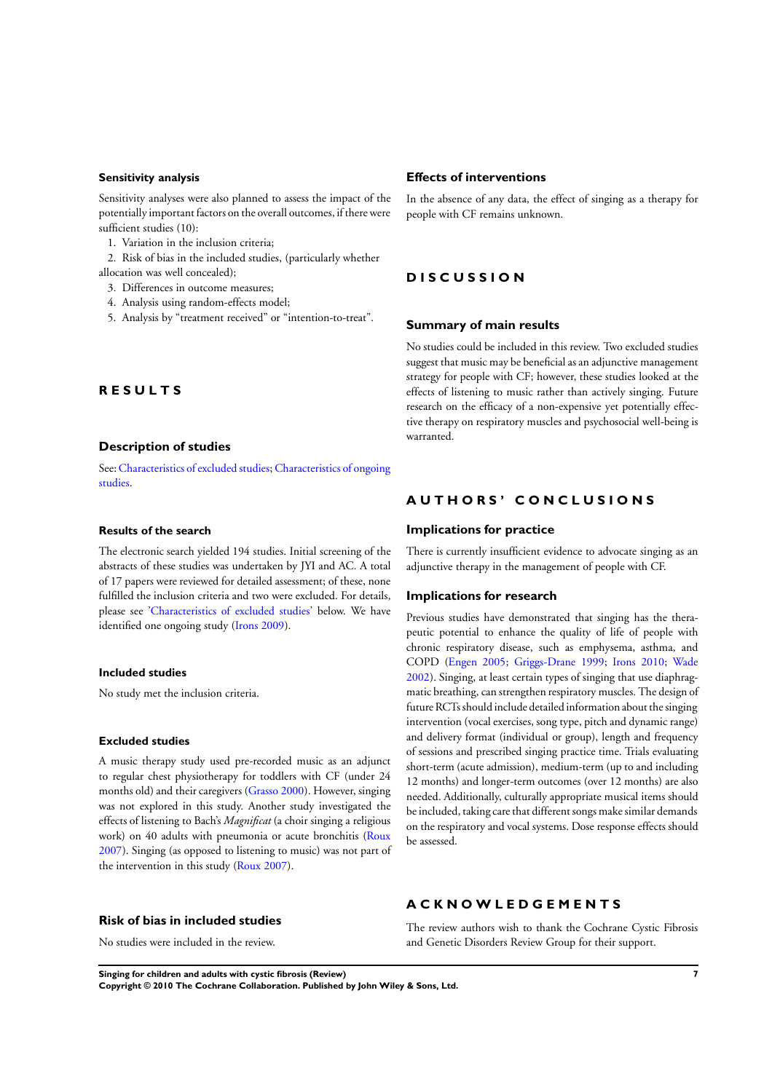### **Sensitivity analysis**

Sensitivity analyses were also planned to assess the impact of the potentially important factors on the overall outcomes, if there were sufficient studies (10):

1. Variation in the inclusion criteria;

2. Risk of bias in the included studies, (particularly whether allocation was well concealed);

- 3. Differences in outcome measures;
- 4. Analysis using random-effects model;
- 5. Analysis by "treatment received" or "intention-to-treat".

### **R E S U L T S**

### **Description of studies**

See: [Characteristics of excluded studies;](#page-12-0) [Characteristics of ongoing](#page-12-0) [studies.](#page-12-0)

#### **Results of the search**

The electronic search yielded 194 studies. Initial screening of the abstracts of these studies was undertaken by JYI and AC. A total of 17 papers were reviewed for detailed assessment; of these, none fulfilled the inclusion criteria and two were excluded. For details, please see ['Characteristics of excluded studies'](#page-12-0) below. We have identified one ongoing study [\(Irons 2009](#page-10-0)).

### **Included studies**

No study met the inclusion criteria.

#### **Excluded studies**

A music therapy study used pre-recorded music as an adjunct to regular chest physiotherapy for toddlers with CF (under 24 months old) and their caregivers [\(Grasso 2000](#page-10-0)). However, singing was not explored in this study. Another study investigated the effects of listening to Bach's *Magnificat* (a choir singing a religious work) on 40 adults with pneumonia or acute bronchitis ([Roux](#page-10-0) [2007](#page-10-0)). Singing (as opposed to listening to music) was not part of the intervention in this study ([Roux 2007](#page-10-0)).

#### **Risk of bias in included studies**

No studies were included in the review.

### **Effects of interventions**

In the absence of any data, the effect of singing as a therapy for people with CF remains unknown.

## **D I S C U S S I O N**

### **Summary of main results**

No studies could be included in this review. Two excluded studies suggest that music may be beneficial as an adjunctive management strategy for people with CF; however, these studies looked at the effects of listening to music rather than actively singing. Future research on the efficacy of a non-expensive yet potentially effective therapy on respiratory muscles and psychosocial well-being is warranted.

### **A U T H O R S ' C O N C L U S I O N S**

#### **Implications for practice**

There is currently insufficient evidence to advocate singing as an adjunctive therapy in the management of people with CF.

#### **Implications for research**

Previous studies have demonstrated that singing has the therapeutic potential to enhance the quality of life of people with chronic respiratory disease, such as emphysema, asthma, and COPD ([Engen 2005;](#page-10-0) [Griggs-Drane 1999;](#page-10-0) [Irons 2010](#page-10-0); [Wade](#page-10-0) [2002](#page-10-0)). Singing, at least certain types of singing that use diaphragmatic breathing, can strengthen respiratory muscles. The design of future RCTs should include detailed information about the singing intervention (vocal exercises, song type, pitch and dynamic range) and delivery format (individual or group), length and frequency of sessions and prescribed singing practice time. Trials evaluating short-term (acute admission), medium-term (up to and including 12 months) and longer-term outcomes (over 12 months) are also needed. Additionally, culturally appropriate musical items should be included, taking care that different songs make similar demands on the respiratory and vocal systems. Dose response effects should be assessed.

# **A C K N O W L E D G E M E N T S**

The review authors wish to thank the Cochrane Cystic Fibrosis and Genetic Disorders Review Group for their support.

**Singing for children and adults with cystic fibrosis (Review) 7**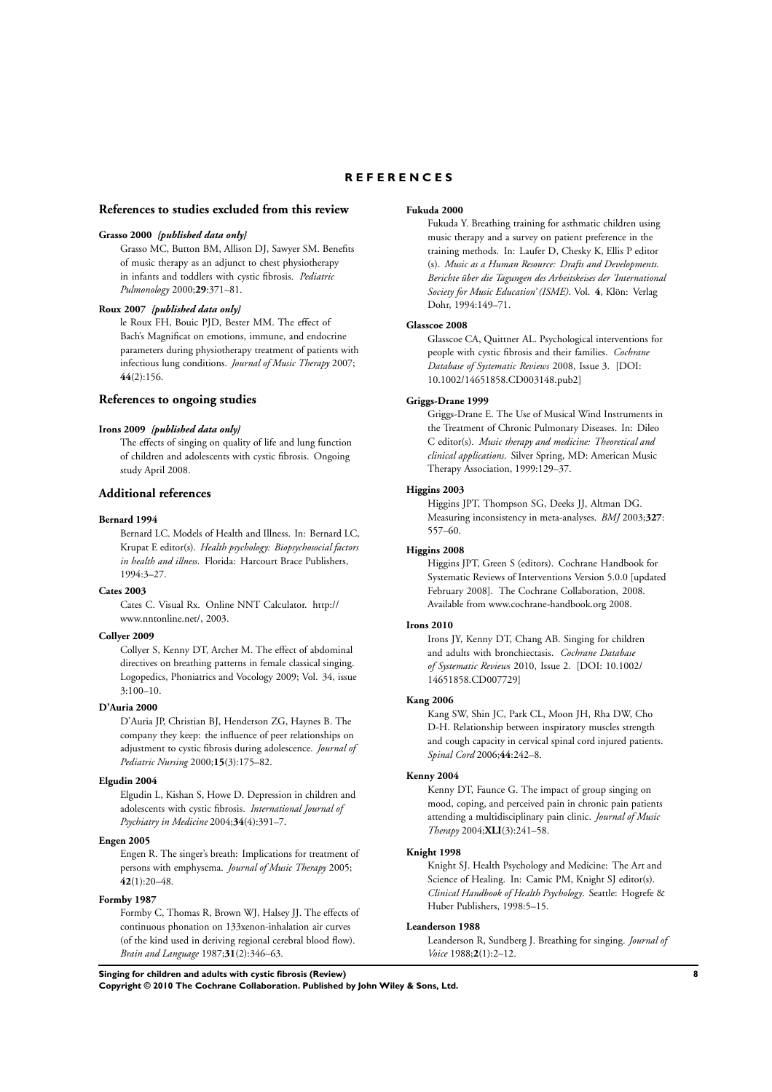## **R E F E R E N C E S**

#### <span id="page-10-0"></span>**References to studies excluded from this review**

#### **Grasso 2000** *{published data only}*

Grasso MC, Button BM, Allison DJ, Sawyer SM. Benefits of music therapy as an adjunct to chest physiotherapy in infants and toddlers with cystic fibrosis. *Pediatric Pulmonology* 2000;**29**:371–81.

#### **Roux 2007** *{published data only}*

le Roux FH, Bouic PJD, Bester MM. The effect of Bach's Magnificat on emotions, immune, and endocrine parameters during physiotherapy treatment of patients with infectious lung conditions. *Journal of Music Therapy* 2007; **44**(2):156.

### **References to ongoing studies**

#### **Irons 2009** *{published data only}*

The effects of singing on quality of life and lung function of children and adolescents with cystic fibrosis. Ongoing study April 2008.

#### **Additional references**

#### **Bernard 1994**

Bernard LC. Models of Health and Illness. In: Bernard LC, Krupat E editor(s). *Health psychology: Biopsychosocial factors in health and illness*. Florida: Harcourt Brace Publishers, 1994:3–27.

#### **Cates 2003**

Cates C. Visual Rx. Online NNT Calculator. http:// www.nntonline.net/, 2003.

#### **Collyer 2009**

Collyer S, Kenny DT, Archer M. The effect of abdominal directives on breathing patterns in female classical singing. Logopedics, Phoniatrics and Vocology 2009; Vol. 34, issue 3:100–10.

### **D'Auria 2000**

D'Auria JP, Christian BJ, Henderson ZG, Haynes B. The company they keep: the influence of peer relationships on adjustment to cystic fibrosis during adolescence. *Journal of Pediatric Nursing* 2000;**15**(3):175–82.

#### **Elgudin 2004**

Elgudin L, Kishan S, Howe D. Depression in children and adolescents with cystic fibrosis. *International Journal of Psychiatry in Medicine* 2004;**34**(4):391–7.

#### **Engen 2005**

Engen R. The singer's breath: Implications for treatment of persons with emphysema. *Journal of Music Therapy* 2005; **42**(1):20–48.

#### **Formby 1987**

Formby C, Thomas R, Brown WJ, Halsey JJ. The effects of continuous phonation on 133xenon-inhalation air curves (of the kind used in deriving regional cerebral blood flow). *Brain and Language* 1987;**31**(2):346–63.

#### **Fukuda 2000**

Fukuda Y. Breathing training for asthmatic children using music therapy and a survey on patient preference in the training methods. In: Laufer D, Chesky K, Ellis P editor (s). *Music as a Human Resource: Drafts and Developments. Berichte über die Tagungen des Arbeitskeises der 'International Society for Music Education' (ISME)*. Vol. **4**, Klön: Verlag Dohr, 1994:149–71.

### **Glasscoe 2008**

Glasscoe CA, Quittner AL. Psychological interventions for people with cystic fibrosis and their families. *Cochrane Database of Systematic Reviews* 2008, Issue 3. [DOI: 10.1002/14651858.CD003148.pub2]

#### **Griggs-Drane 1999**

Griggs-Drane E. The Use of Musical Wind Instruments in the Treatment of Chronic Pulmonary Diseases. In: Dileo C editor(s). *Music therapy and medicine: Theoretical and clinical applications*. Silver Spring, MD: American Music Therapy Association, 1999:129–37.

#### **Higgins 2003**

Higgins JPT, Thompson SG, Deeks JJ, Altman DG. Measuring inconsistency in meta-analyses. *BMJ* 2003;**327**: 557–60.

#### **Higgins 2008**

Higgins JPT, Green S (editors). Cochrane Handbook for Systematic Reviews of Interventions Version 5.0.0 [updated February 2008]. The Cochrane Collaboration, 2008. Available from www.cochrane-handbook.org 2008.

#### **Irons 2010**

Irons JY, Kenny DT, Chang AB. Singing for children and adults with bronchiectasis. *Cochrane Database of Systematic Reviews* 2010, Issue 2. [DOI: 10.1002/ 14651858.CD007729]

#### **Kang 2006**

Kang SW, Shin JC, Park CL, Moon JH, Rha DW, Cho D-H. Relationship between inspiratory muscles strength and cough capacity in cervical spinal cord injured patients. *Spinal Cord* 2006;**44**:242–8.

### **Kenny 2004**

Kenny DT, Faunce G. The impact of group singing on mood, coping, and perceived pain in chronic pain patients attending a multidisciplinary pain clinic. *Journal of Music Therapy* 2004;**XLI**(3):241–58.

#### **Knight 1998**

Knight SJ. Health Psychology and Medicine: The Art and Science of Healing. In: Camic PM, Knight SJ editor(s). *Clinical Handbook of Health Psychology*. Seattle: Hogrefe & Huber Publishers, 1998:5–15.

#### **Leanderson 1988**

Leanderson R, Sundberg J. Breathing for singing. *Journal of Voice* 1988;**2**(1):2–12.

**Singing for children and adults with cystic fibrosis (Review) 8**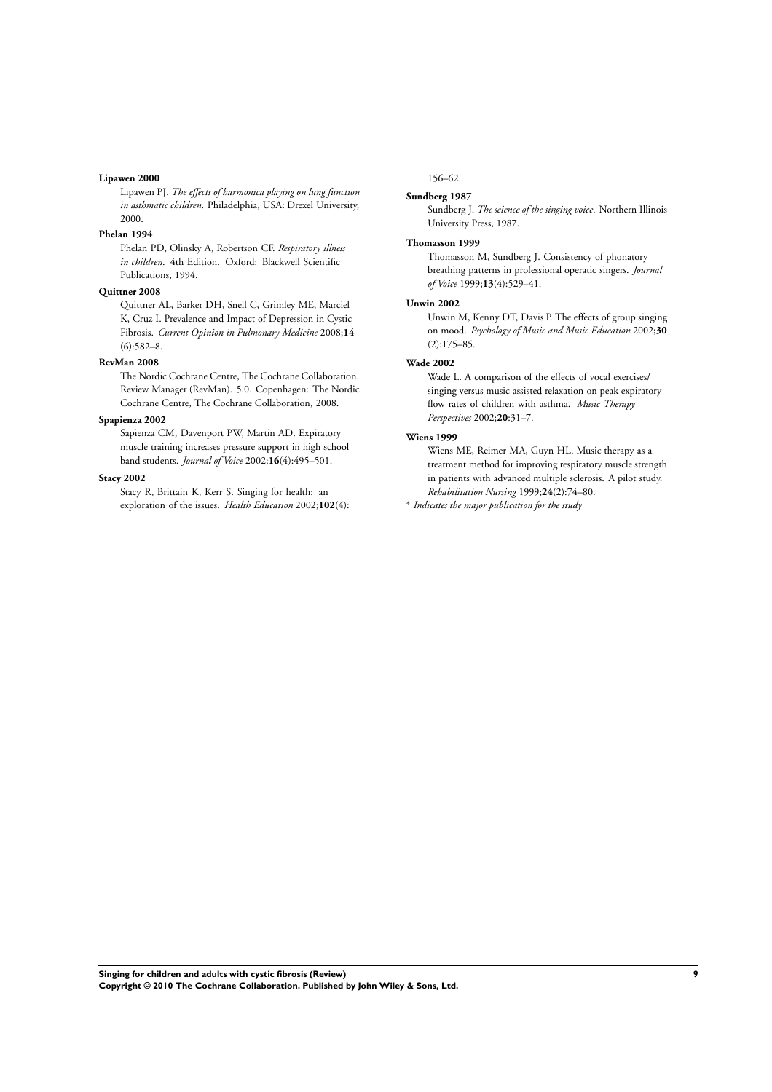#### **Lipawen 2000**

Lipawen PJ. *The effects of harmonica playing on lung function in asthmatic children*. Philadelphia, USA: Drexel University, 2000.

### **Phelan 1994**

Phelan PD, Olinsky A, Robertson CF. *Respiratory illness in children*. 4th Edition. Oxford: Blackwell Scientific Publications, 1994.

### **Quittner 2008**

Quittner AL, Barker DH, Snell C, Grimley ME, Marciel K, Cruz I. Prevalence and Impact of Depression in Cystic Fibrosis. *Current Opinion in Pulmonary Medicine* 2008;**14**  $(6):582-8.$ 

### **RevMan 2008**

The Nordic Cochrane Centre, The Cochrane Collaboration. Review Manager (RevMan). 5.0. Copenhagen: The Nordic Cochrane Centre, The Cochrane Collaboration, 2008.

### **Spapienza 2002**

Sapienza CM, Davenport PW, Martin AD. Expiratory muscle training increases pressure support in high school band students. *Journal of Voice* 2002;**16**(4):495–501.

### **Stacy 2002**

Stacy R, Brittain K, Kerr S. Singing for health: an exploration of the issues. *Health Education* 2002;**102**(4):

### 156–62.

#### **Sundberg 1987**

Sundberg J. *The science of the singing voice*. Northern Illinois University Press, 1987.

#### **Thomasson 1999**

Thomasson M, Sundberg J. Consistency of phonatory breathing patterns in professional operatic singers. *Journal of Voice* 1999;**13**(4):529–41.

#### **Unwin 2002**

Unwin M, Kenny DT, Davis P. The effects of group singing on mood. *Psychology of Music and Music Education* 2002;**30** (2):175–85.

### **Wade 2002**

Wade L. A comparison of the effects of vocal exercises/ singing versus music assisted relaxation on peak expiratory flow rates of children with asthma. *Music Therapy Perspectives* 2002;**20**:31–7.

#### **Wiens 1999**

Wiens ME, Reimer MA, Guyn HL. Music therapy as a treatment method for improving respiratory muscle strength in patients with advanced multiple sclerosis. A pilot study. *Rehabilitation Nursing* 1999;**24**(2):74–80.

∗ *Indicates the major publication for the study*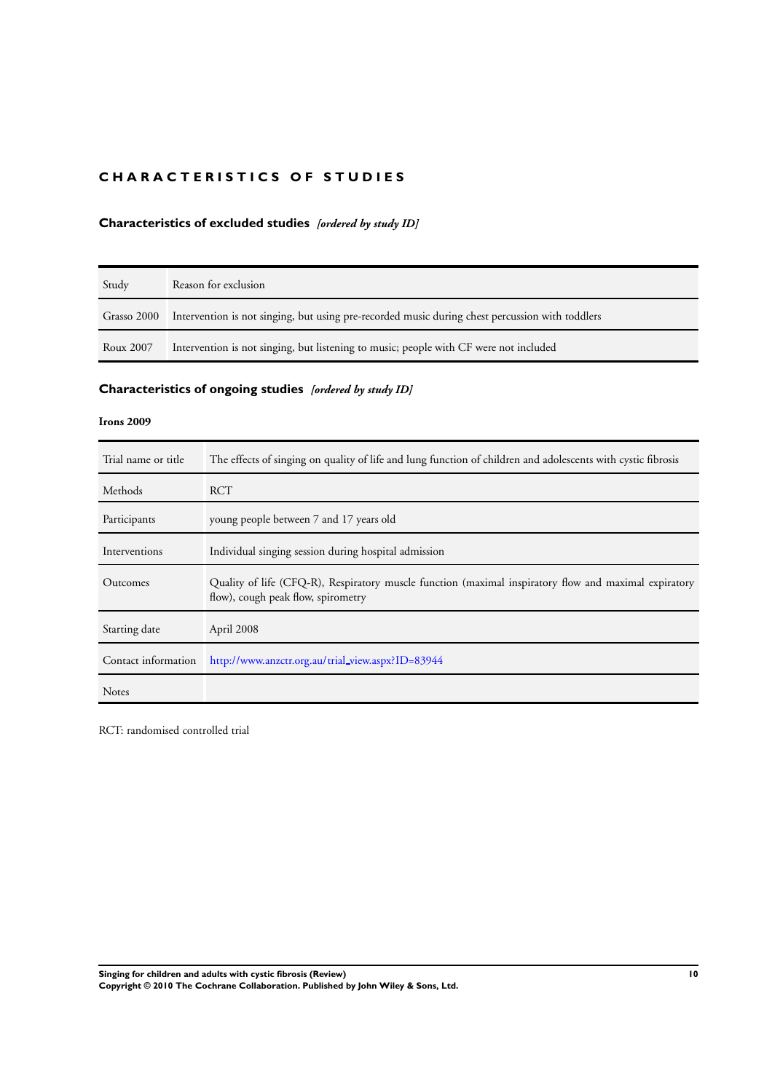# <span id="page-12-0"></span>**CHARACTERISTICS OF STUDIES**

# **Characteristics of excluded studies** *[ordered by study ID]*

| Study       | Reason for exclusion                                                                            |
|-------------|-------------------------------------------------------------------------------------------------|
| Grasso 2000 | Intervention is not singing, but using pre-recorded music during chest percussion with toddlers |
| Roux 2007   | Intervention is not singing, but listening to music; people with CF were not included           |

# **Characteristics of ongoing studies** *[ordered by study ID]*

### **Irons 2009**

| Trial name or title | The effects of singing on quality of life and lung function of children and adolescents with cystic fibrosis                                |
|---------------------|---------------------------------------------------------------------------------------------------------------------------------------------|
| Methods             | RCT                                                                                                                                         |
| Participants        | young people between 7 and 17 years old                                                                                                     |
| Interventions       | Individual singing session during hospital admission                                                                                        |
| Outcomes            | Quality of life (CFQ-R), Respiratory muscle function (maximal inspiratory flow and maximal expiratory<br>flow), cough peak flow, spirometry |
| Starting date       | April 2008                                                                                                                                  |
| Contact information | http://www.anzctr.org.au/trial_view.aspx?ID=83944                                                                                           |
| <b>Notes</b>        |                                                                                                                                             |

RCT: randomised controlled trial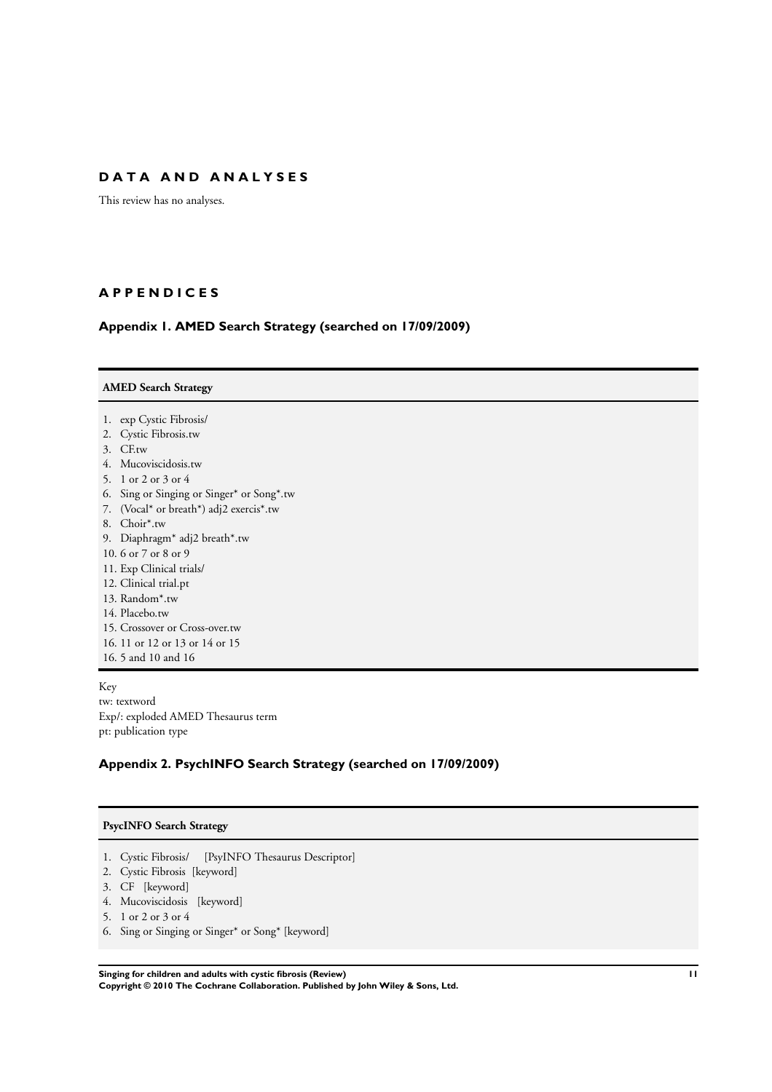# <span id="page-13-0"></span>**D A T A A N D A N A L Y S E S**

This review has no analyses.

# **A P P E N D I C E S**

# **Appendix 1. AMED Search Strategy (searched on 17/09/2009)**

| 1. exp Cystic Fibrosis/<br>2. Cystic Fibrosis.tw<br>3. CF.tw<br>4. Mucoviscidosis.tw<br>5. 1 or 2 or 3 or 4<br>Sing or Singing or Singer* or Song*.tw<br>6.<br>7. (Vocal* or breath*) adj2 exercis*.tw<br>8. Choir*.tw |
|------------------------------------------------------------------------------------------------------------------------------------------------------------------------------------------------------------------------|
|                                                                                                                                                                                                                        |
|                                                                                                                                                                                                                        |
|                                                                                                                                                                                                                        |
|                                                                                                                                                                                                                        |
|                                                                                                                                                                                                                        |
|                                                                                                                                                                                                                        |
|                                                                                                                                                                                                                        |
|                                                                                                                                                                                                                        |
|                                                                                                                                                                                                                        |
| 9. Diaphragm* adj2 breath*.tw                                                                                                                                                                                          |
| 10.6 or 7 or 8 or 9                                                                                                                                                                                                    |
| 11. Exp Clinical trials/                                                                                                                                                                                               |
| 12. Clinical trial.pt                                                                                                                                                                                                  |
| 13. Random*.tw                                                                                                                                                                                                         |
| 14. Placebo.tw                                                                                                                                                                                                         |
| 15. Crossover or Cross-over.tw                                                                                                                                                                                         |
| 16. 11 or 12 or 13 or 14 or 15                                                                                                                                                                                         |
| 16. 5 and 10 and 16                                                                                                                                                                                                    |

Key tw: textword Exp/: exploded AMED Thesaurus term pt: publication type

# **Appendix 2. PsychINFO Search Strategy (searched on 17/09/2009)**

### **PsycINFO Search Strategy**

- 1. Cystic Fibrosis/ [PsyINFO Thesaurus Descriptor]
- 2. Cystic Fibrosis [keyword]
- 3. CF [keyword]
- 4. Mucoviscidosis [keyword]
- 5. 1 or 2 or 3 or 4
- 6. Sing or Singing or Singer\* or Song\* [keyword]

**Singing for children and adults with cystic fibrosis (Review) 11 Copyright © 2010 The Cochrane Collaboration. Published by John Wiley & Sons, Ltd.**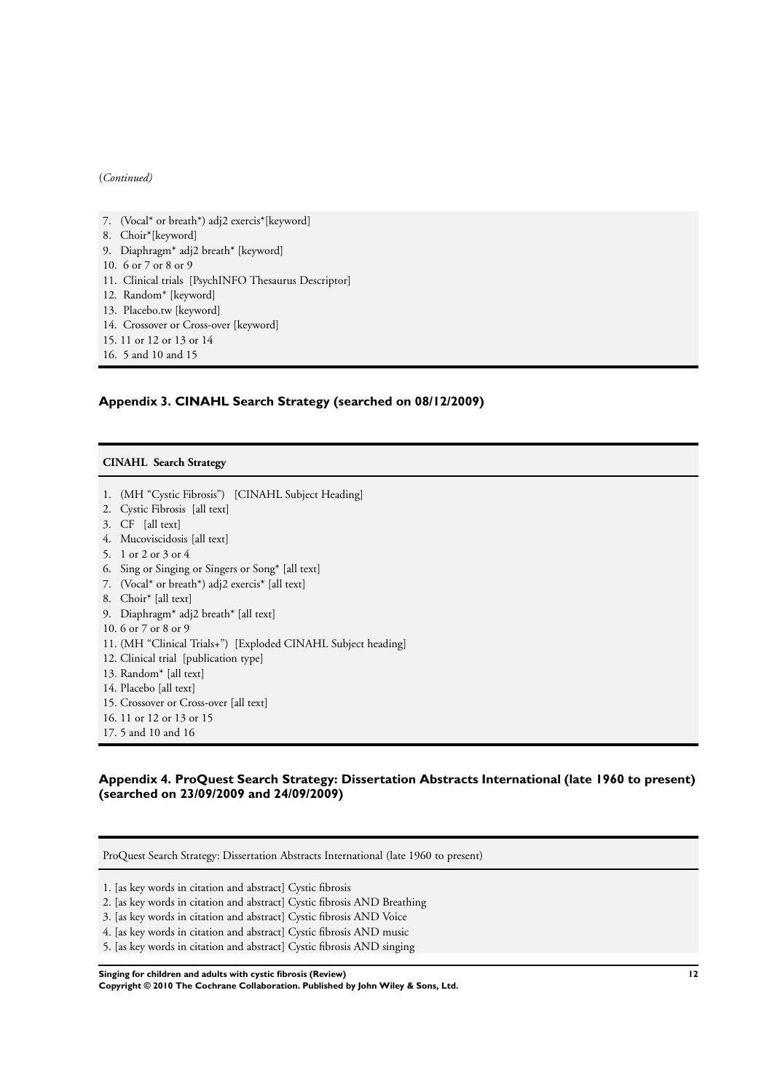### <span id="page-14-0"></span>(*Continued)*

- 7. (Vocal\* or breath\*) adj2 exercis\*[keyword]
- 8. Choir\*[keyword]
- 9. Diaphragm\* adj2 breath\* [keyword]
- 10. 6 or 7 or 8 or 9
- 11. Clinical trials [PsychINFO Thesaurus Descriptor]
- 12. Random\* [keyword]
- 13. Placebo.tw [keyword]
- 14. Crossover or Cross-over [keyword]
- 15. 11 or 12 or 13 or 14
- 16. 5 and 10 and 15

### **Appendix 3. CINAHL Search Strategy (searched on 08/12/2009)**

### **CINAHL Search Strategy**

2. Cystic Fibrosis [all text] 3. CF [all text] 4. Mucoviscidosis [all text] 5. 1 or 2 or 3 or 4 6. Sing or Singing or Singers or Song\* [all text] 7. (Vocal\* or breath\*) adj2 exercis\* [all text]

1. (MH "Cystic Fibrosis") [CINAHL Subject Heading]

- 
- 8. Choir\* [all text]
- 9. Diaphragm\* adj2 breath\* [all text]
- 10. 6 or 7 or 8 or 9
- 11. (MH "Clinical Trials+") [Exploded CINAHL Subject heading]
- 12. Clinical trial [publication type]
- 13. Random\* [all text]
- 14. Placebo [all text]
- 15. Crossover or Cross-over [all text]
- 16. 11 or 12 or 13 or 15
- 17. 5 and 10 and 16

### **Appendix 4. ProQuest Search Strategy: Dissertation Abstracts International (late 1960 to present) (searched on 23/09/2009 and 24/09/2009)**

ProQuest Search Strategy: Dissertation Abstracts International (late 1960 to present)

1. [as key words in citation and abstract] Cystic fibrosis

- 2. [as key words in citation and abstract] Cystic fibrosis AND Breathing
- 3. [as key words in citation and abstract] Cystic fibrosis AND Voice
- 4. [as key words in citation and abstract] Cystic fibrosis AND music
- 5. [as key words in citation and abstract] Cystic fibrosis AND singing

**Singing for children and adults with cystic fibrosis (Review) 12**

**Copyright © 2010 The Cochrane Collaboration. Published by John Wiley & Sons, Ltd.**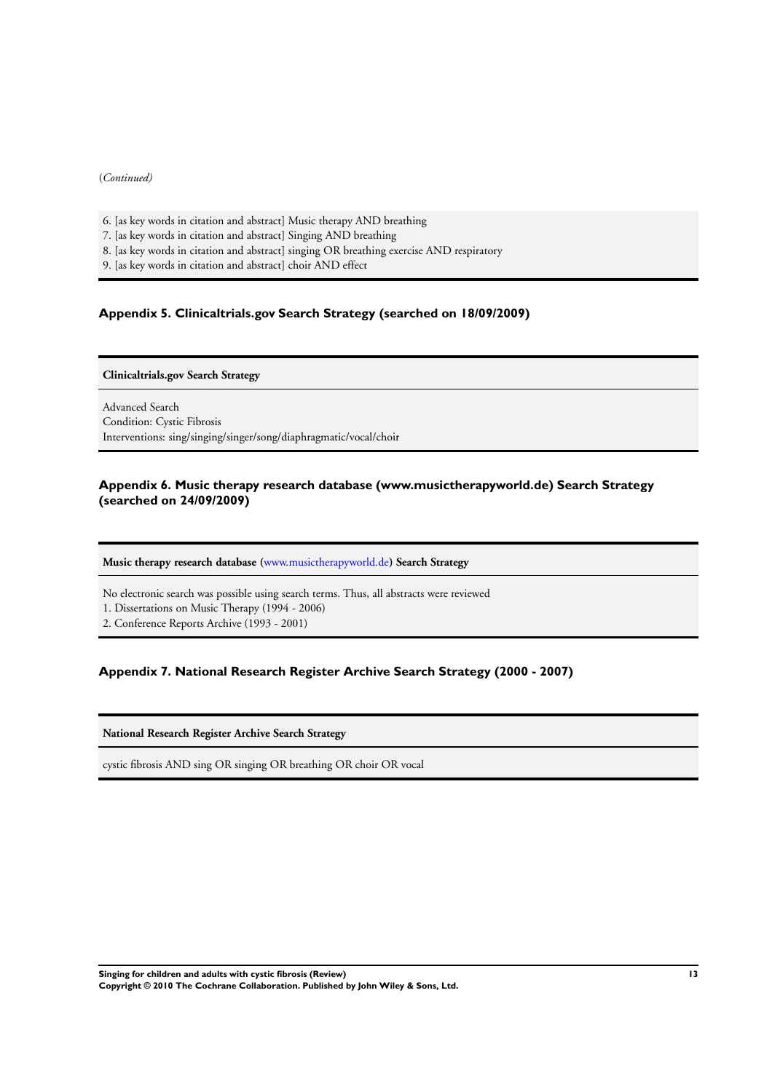### <span id="page-15-0"></span>(*Continued)*

- 6. [as key words in citation and abstract] Music therapy AND breathing
- 7. [as key words in citation and abstract] Singing AND breathing
- 8. [as key words in citation and abstract] singing OR breathing exercise AND respiratory
- 9. [as key words in citation and abstract] choir AND effect

## **Appendix 5. Clinicaltrials.gov Search Strategy (searched on 18/09/2009)**

### **Clinicaltrials.gov Search Strategy**

Advanced Search Condition: Cystic Fibrosis Interventions: sing/singing/singer/song/diaphragmatic/vocal/choir

### **Appendix 6. Music therapy research database (www.musictherapyworld.de) Search Strategy (searched on 24/09/2009)**

### **Music therapy research database (**[www.musictherapyworld.de](http://www.musictherapyworld.de)**) Search Strategy**

No electronic search was possible using search terms. Thus, all abstracts were reviewed

1. Dissertations on Music Therapy (1994 - 2006)

2. Conference Reports Archive (1993 - 2001)

### **Appendix 7. National Research Register Archive Search Strategy (2000 - 2007)**

**National Research Register Archive Search Strategy**

cystic fibrosis AND sing OR singing OR breathing OR choir OR vocal